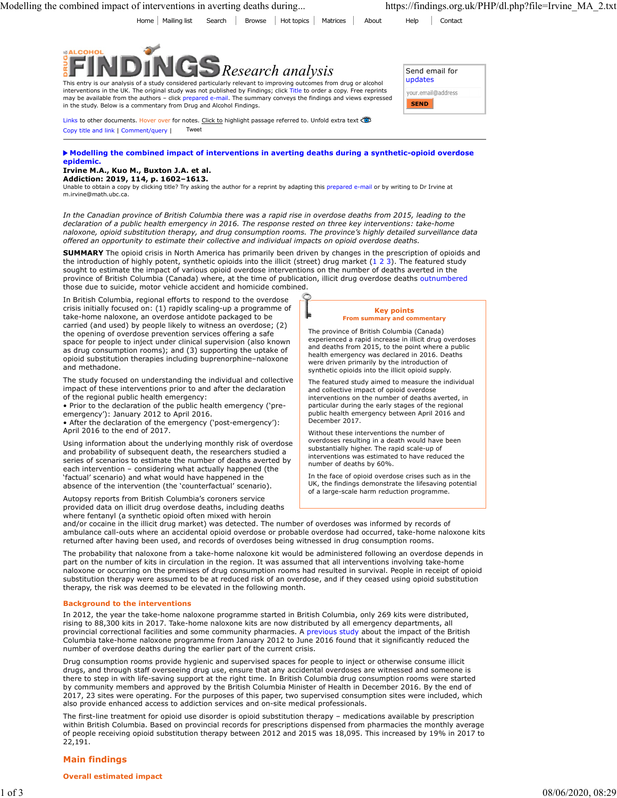Home Mailing list Search Browse Hot topics Matrices About Help Contact



This entry is our analysis of a study considered particularly relevant to improving outcomes from drug or alcohol interventions in the UK. The original study was not published by Findings; click Title to order a copy. Free reprints may be available from the authors – click prepared e-mail. The summary conveys the findings and views expressed in the study. Below is a commentary from Drug and Alcohol Findings.

| Send email for<br>updates |
|---------------------------|
|                           |
| your.email@address        |
| <b>SEND</b>               |

Links to other documents. Hover over for notes. Click to highlight passage referred to. Unfold extra text Copy title and link | Comment/query | Tweet

# Modelling the combined impact of interventions in averting deaths during a synthetic-opioid overdose epidemic.

### Irvine M.A., Kuo M., Buxton J.A. et al. Addiction: 2019, 114, p. 1602–1613.

Unable to obtain a copy by clicking title? Try asking the author for a reprint by adapting this prepared e-mail or by writing to Dr Irvine at m.irvine@math.ubc.ca.

In the Canadian province of British Columbia there was a rapid rise in overdose deaths from 2015, leading to the declaration of a public health emergency in 2016. The response rested on three key interventions: take-home naloxone, opioid substitution therapy, and drug consumption rooms. The province's highly detailed surveillance data offered an opportunity to estimate their collective and individual impacts on opioid overdose deaths.

SUMMARY The opioid crisis in North America has primarily been driven by changes in the prescription of opioids and ombined impact of interventions in averting deaths during...<br>
the intervention of highly believed in Section of the intervention of higher the intervention of the intervention of the intervention of the intervention of th sought to estimate the impact of various opioid overdose interventions on the number of deaths averted in the province of British Columbia (Canada) where, at the time of publication, illicit drug overdose deaths outnumbered those due to suicide, motor vehicle accident and homicide combined.

In British Columbia, regional efforts to respond to the overdose crisis initially focused on: (1) rapidly scaling-up a programme of take-home naloxone, an overdose antidote packaged to be carried (and used) by people likely to witness an overdose; (2) the opening of overdose prevention services offering a safe space for people to inject under clinical supervision (also known as drug consumption rooms); and (3) supporting the uptake of opioid substitution therapies including buprenorphine–naloxone and methadone.

The study focused on understanding the individual and collective impact of these interventions prior to and after the declaration of the regional public health emergency:

• Prior to the declaration of the public health emergency ('preemergency'): January 2012 to April 2016.

• After the declaration of the emergency ('post-emergency'): April 2016 to the end of 2017.

Using information about the underlying monthly risk of overdose and probability of subsequent death, the researchers studied a series of scenarios to estimate the number of deaths averted by each intervention – considering what actually happened (the 'factual' scenario) and what would have happened in the absence of the intervention (the 'counterfactual' scenario).

Autopsy reports from British Columbia's coroners service provided data on illicit drug overdose deaths, including deaths where fentanyl (a synthetic opioid often mixed with heroin

#### Key points From summary and comm

The province of British Columbia (Canada) experienced a rapid increase in illicit drug overdoses and deaths from 2015, to the point where a public health emergency was declared in 2016. Deaths were driven primarily by the introduction of synthetic opioids into the illicit opioid supply.

The featured study aimed to measure the individual and collective impact of opioid overdose interventions on the number of deaths averted, in particular during the early stages of the regional public health emergency between April 2016 and December 2017.

Without these interventions the number of overdoses resulting in a death would have been substantially higher. The rapid scale-up of interventions was estimated to have reduced the number of deaths by 60%.

In the face of opioid overdose crises such as in the UK, the findings demonstrate the lifesaving potential of a large-scale harm reduction programme.

and/or cocaine in the illicit drug market) was detected. The number of overdoses was informed by records of ambulance call-outs where an accidental opioid overdose or probable overdose had occurred, take-home naloxone kits returned after having been used, and records of overdoses being witnessed in drug consumption rooms.

The probability that naloxone from a take-home naloxone kit would be administered following an overdose depends in part on the number of kits in circulation in the region. It was assumed that all interventions involving take-home naloxone or occurring on the premises of drug consumption rooms had resulted in survival. People in receipt of opioid substitution therapy were assumed to be at reduced risk of an overdose, and if they ceased using opioid substitution therapy, the risk was deemed to be elevated in the following month.

# Background to the interventions

In 2012, the year the take-home naloxone programme started in British Columbia, only 269 kits were distributed, rising to 88,300 kits in 2017. Take-home naloxone kits are now distributed by all emergency departments, all provincial correctional facilities and some community pharmacies. A previous study about the impact of the British Columbia take-home naloxone programme from January 2012 to June 2016 found that it significantly reduced the number of overdose deaths during the earlier part of the current crisis.

Drug consumption rooms provide hygienic and supervised spaces for people to inject or otherwise consume illicit drugs, and through staff overseeing drug use, ensure that any accidental overdoses are witnessed and someone is there to step in with life-saving support at the right time. In British Columbia drug consumption rooms were started by community members and approved by the British Columbia Minister of Health in December 2016. By the end of 2017, 23 sites were operating. For the purposes of this paper, two supervised consumption sites were included, which also provide enhanced access to addiction services and on-site medical professionals.

The first-line treatment for opioid use disorder is opioid substitution therapy – medications available by prescription within British Columbia. Based on provincial records for prescriptions dispensed from pharmacies the monthly average of people receiving opioid substitution therapy between 2012 and 2015 was 18,095. This increased by 19% in 2017 to 22,191.

# Main findings

Overall estimated impact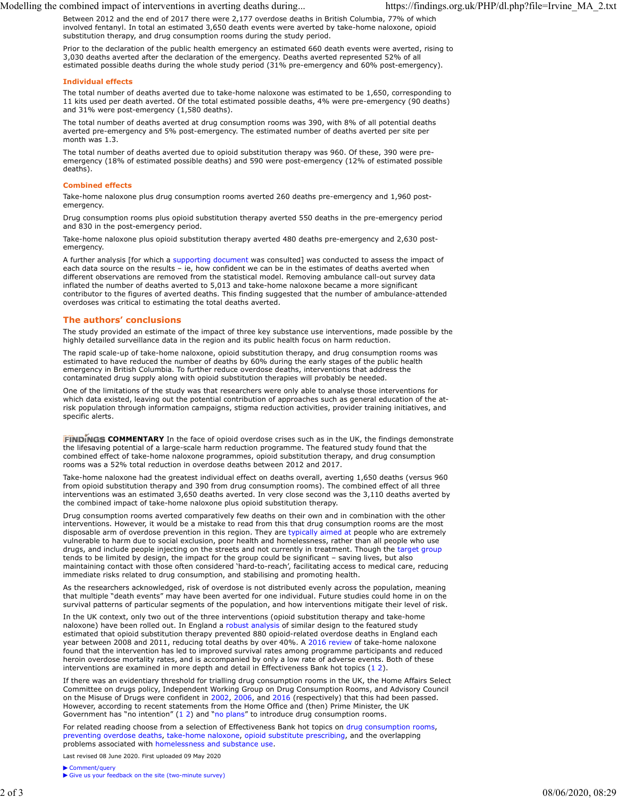Modelling the combined impact of interventions in averting deaths during... https://findings.org.uk/PHP/dl.php?file=Irvine\_MA\_2.txt

Between 2012 and the end of 2017 there were 2,177 overdose deaths in British Columbia, 77% of which involved fentanyl. In total an estimated 3,650 death events were averted by take-home naloxone, opioid substitution therapy, and drug consumption rooms during the study period.

Prior to the declaration of the public health emergency an estimated 660 death events were averted, rising to 3,030 deaths averted after the declaration of the emergency. Deaths averted represented 52% of all estimated possible deaths during the whole study period (31% pre-emergency and 60% post-emergency).

### Individual effects

The total number of deaths averted due to take-home naloxone was estimated to be 1,650, corresponding to 11 kits used per death averted. Of the total estimated possible deaths, 4% were pre-emergency (90 deaths) and 31% were post-emergency (1,580 deaths).

The total number of deaths averted at drug consumption rooms was 390, with 8% of all potential deaths averted pre-emergency and 5% post-emergency. The estimated number of deaths averted per site per month was 1.3.

The total number of deaths averted due to opioid substitution therapy was 960. Of these, 390 were preemergency (18% of estimated possible deaths) and 590 were post-emergency (12% of estimated possible deaths).

### Combined effects

Take-home naloxone plus drug consumption rooms averted 260 deaths pre-emergency and 1,960 postemergency

Drug consumption rooms plus opioid substitution therapy averted 550 deaths in the pre-emergency period and 830 in the post-emergency period.

Take-home naloxone plus opioid substitution therapy averted 480 deaths pre-emergency and 2,630 postemergency.

A further analysis [for which a supporting document was consulted] was conducted to assess the impact of each data source on the results – ie, how confident we can be in the estimates of deaths averted when different observations are removed from the statistical model. Removing ambulance call-out survey data inflated the number of deaths averted to 5,013 and take-home naloxone became a more significant contributor to the figures of averted deaths. This finding suggested that the number of ambulance-attended overdoses was critical to estimating the total deaths averted.

## The authors' conclusions

The study provided an estimate of the impact of three key substance use interventions, made possible by the highly detailed surveillance data in the region and its public health focus on harm reduction.

The rapid scale-up of take-home naloxone, opioid substitution therapy, and drug consumption rooms was estimated to have reduced the number of deaths by 60% during the early stages of the public health emergency in British Columbia. To further reduce overdose deaths, interventions that address the contaminated drug supply along with opioid substitution therapies will probably be needed.

One of the limitations of the study was that researchers were only able to analyse those interventions for which data existed, leaving out the potential contribution of approaches such as general education of the atrisk population through information campaigns, stigma reduction activities, provider training initiatives, and specific alerts.

**FINDINGS COMMENTARY** In the face of opioid overdose crises such as in the UK, the findings demonstrate the lifesaving potential of a large-scale harm reduction programme. The featured study found that the combined effect of take-home naloxone programmes, opioid substitution therapy, and drug consumption rooms was a 52% total reduction in overdose deaths between 2012 and 2017.

Take-home naloxone had the greatest individual effect on deaths overall, averting 1,650 deaths (versus 960 from opioid substitution therapy and 390 from drug consumption rooms). The combined effect of all three interventions was an estimated 3,650 deaths averted. In very close second was the 3,110 deaths averted by the combined impact of take-home naloxone plus opioid substitution therapy.

Drug consumption rooms averted comparatively few deaths on their own and in combination with the other interventions. However, it would be a mistake to read from this that drug consumption rooms are the most disposable arm of overdose prevention in this region. They are typically aimed at people who are extremely vulnerable to harm due to social exclusion, poor health and homelessness, rather than all people who use drugs, and include people injecting on the streets and not currently in treatment. Though the target group tends to be limited by design, the impact for the group could be significant – saving lives, but also maintaining contact with those often considered 'hard-to-reach', facilitating access to medical care, reducing immediate risks related to drug consumption, and stabilising and promoting health. which data estates. New Your back the position of a spectral in controllation of a spectral in a spectral in the second in the second in the second in the second in the second in the second in the second in the second in t the liferativity potential of a large-scale harm reduction programmes. The featured study found that the consumption<br>combined effect of take-home nalooxne programmes, opiold substitution therapy, and drug Consumption<br>Take-

As the researchers acknowledged, risk of overdose is not distributed evenly across the population, meaning that multiple "death events" may have been averted for one individual. Future studies could home in on the survival patterns of particular segments of the population, and how interventions mitigate their level of risk.

In the UK context, only two out of the three interventions (opioid substitution therapy and take-home naloxone) have been rolled out. In England a robust analysis of similar design to the featured study estimated that opioid substitution therapy prevented 880 opioid-related overdose deaths in England each year between 2008 and 2011, reducing total deaths by over 40%. A 2016 review of take-home naloxone found that the intervention has led to improved survival rates among programme participants and reduced heroin overdose mortality rates, and is accompanied by only a low rate of adverse events. Both of these interventions are examined in more depth and detail in Effectiveness Bank hot topics (1 2).

If there was an evidentiary threshold for trialling drug consumption rooms in the UK, the Home Affairs Select Committee on drugs policy, Independent Working Group on Drug Consumption Rooms, and Advisory Council on the Misuse of Drugs were confident in 2002, 2006, and 2016 (respectively) that this had been passed. However, according to recent statements from the Home Office and (then) Prime Minister, the UK

For related reading choose from a selection of Effectiveness Bank hot topics on drug consumption rooms, preventing overdose deaths, take-home naloxone, opioid substitute prescribing, and the overlapping problems associated with homelessness and substance use.

Last revised 08 June 2020. First uploaded 09 May 2020

Comment/query

Give us your feedback on the site (two-minute survey)